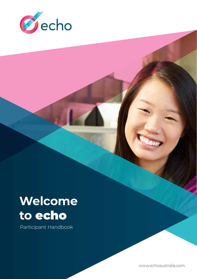

# **Welcome to** echo

Participant Handbook

www.echoaustralia.com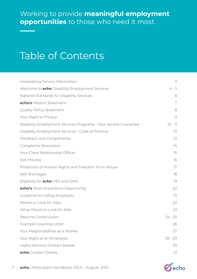### Working to provide **meaningful employment opportunities** to those who need it most.

# Table of Contents

| Interpreting Service Information                                 | 3         |
|------------------------------------------------------------------|-----------|
| Welcome to <b>echo</b> Disability Employment Services            | $4 - 5$   |
| National Standards for Disability Services                       | 6         |
| echo's Mission Statement                                         | 7         |
| <b>Quality Policy Statement</b>                                  | 8         |
| Your Right to Privacy                                            | 9         |
| Disability Employment Services Programs - Your Service Guarantee | $10 - 11$ |
| Disability Employment Services - Code of Practice                | 12        |
| Feedback and Compliments                                         | 13        |
| <b>Complaints Resolution</b>                                     | 74        |
| Your Client Relationship Officer                                 | 15        |
| <b>Exit Process</b>                                              | 16        |
| Protection of Human Rights and Freedom From Abuse                | 17        |
| Skill Shortages                                                  | 18        |
| Eligibility for <b>echo</b> DES and DMS                          | 19        |
| echo's Work Experience Opportunity                               | 20        |
| Guideline to Calling Employers                                   | 21        |
| Where to Look for Jobs                                           | 22        |
| Other Places to Look for Jobs                                    | 23        |
| Resume Construction                                              | $24 - 25$ |
| <b>Example Covering Letter</b>                                   | 26        |
| Your Responsibilities as a Worker                                | 27        |
| Your Right as an Employee                                        | $28 - 29$ |
| Useful Services Contact Details                                  | 30        |
| echo Contact Details                                             | 31        |

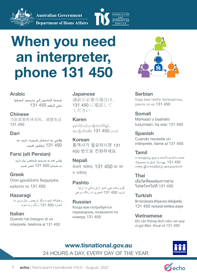**Australian Government** 



**Department of Home Affairs** 

# **When you need an interpreter, phone 131 450**

#### **Arabic**

عندما حتتاجون إلى مترجم، إتصلوا على الرقم 450 131

#### **Chinese**

当您需要传译员时,请拨电话 131 450

#### **Dari**

وقتی به ترجمان ضرورت دارید، به 450 131 تیلفون کنید.

### **Farsi (alt Persian)**

وقتی که به مترجم شفاهی نیاز دارید، به شماره 450 131 تلفن کنید

**Greek** Όταν χρειάζεστε διερμηνέα, καλέστε το 131 450

#### **Hazaragi** وختیکه شمودہ یگو ترجموں نیازدرین دہ شمارۂ 450 131 زنگ زدہ شونہ

**Italian** Quando hai bisogno di un interprete, telefona al 131 450

#### **Japanese**

通訳が必要な場合は、 131 450 に電話して ください

#### **Karen**

နမ္နလိုသည်ပျကိုးထံတုပ်ိနဉ်, ဆဲးကိုးလီတဲစိဖဲ  $131$   $450$  တက္

**Korean** 통역사가 필요하시면 131 450 번으로 전화하세요

# **Nepali**

 $\vec{a}$ भाषे चाहिंदा. 131 450 मा फो  $\overline{u}$  गर्नहोस

**Pashto**  کوم وخت چی تاسو ژباړونکي تہ اړتیا لرۍ، 450 131 شمیری تہ زنګ ووھئ

### **Russian**

Когда вам потребуется переводчик, позвоните по номеру 131 450



#### **Serbian**

Када вам треба преводилац, јавите се на 131 450

### **Somali**

Markaad u baahato turjumaan, ka wac 131 450

### **Spanish**

Cuando necesite un intérprete, llame al 131 450.

### **Tamil**

*உங்களுக்கு ஒரு உரைபெயர்பெபாளர தேரவ்பெடும் தெபாது*, 131 450 *என்ற இலக்்கத்திற்கு அரழயுங்கள்*

**Thai** เมื่อใดที่คุณต ้องการล่าม โปรดโทรไปที่ 131 450

### **Turkish**

Bir tercümana ihtiyacınız olduğunda, 131 450 numaralı telefonu arayın

#### **Vietnamese**

Khi cần thông dịch viên, xin quý vị gọi điện thoại số 131 450

### **www.tisnational.gov.au**

24 HOURS A DAY, EVERY DAY OF THE YEAR



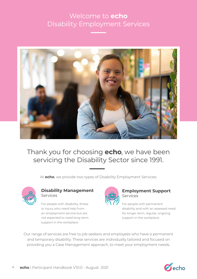### Welcome to **echo** Disability Employment Services



Thank you for choosing **echo**, we have been servicing the Disability Sector since 1991.

At **echo**, we provide two types of Disability Employment Services:



#### **Disability Management** Services

For people with disability, illness or injury who need help from an employment service but are not expected to need long-term support in the workplace.



#### **Employment Support** Services

For people with permanent disability and with an assessed need for longer term, regular, ongoing support in the workplace.

Our range of services are free to job seekers and employees who have a permanent and temporary disability. These services are individually tailored and focused on providing you a Case Management approach, to meet your employment needs.

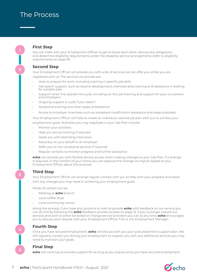#### **First Step**

You will meet with your Employment Officer to get to know each other, discuss any obligations and determine eligibility requirements under the disability service arrangements (refer to eligibility requirements on page 19).

#### **Second Step**

**2**

**3**

**4**

**5**

Your Employment Officer will provide you with a list of services we can offer you whilst you are registered with us. The services we provide are:

- Help to prepare for work, including training in specific job skills
- Job search support, such as resume development, interview skills training and assistance in looking for suitable jobs
- Support when first placed into a job, including on-the-job training and support for your co-workers and employers
- Ongoing support in a job if you need it
- Vocational training and other types of assistance
- Access to employer incentives such as workplace modification assistance and wage subsidies

Your Employment Officer will help to create an individual, tailored job plan with you to achieve your employment goals. Activities you may negotiate in your Job Plan include:

- Monitor your activities
- Help you secure training if required
- Assist you with attending interviews
- Advocacy on your behalf to an employer
- Refer you to non-vocational services if required
- Regular contacts to monitor progress and further assistance

**echo** can provide you with flexible service access when making changes to your Job Plan. If a change is required, in the comfort of your home you can approve the change via myGov (speak to your Employment Officer about this process).

#### **Third Step**

Your Employment Officer will arrange regular contact with you to help with your progress and assist with any changes you may need in achieving your employment goals.

Mode of contact can be:

- Meeting at **echo** branch
- Local coffee shop
- Local community centre

Along the process, if you have any concerns or wish to provide **echo** with feedback on our service you can do this by following the **echo** feedback process located on page 13. If you no longer require our services and wish to either be exited or change service providers you can at any time, **echo** encourages you to discuss your request with your Employment Officer first or the Employment Manager.

#### **Fourth Step**

Once you have secured employment, **echo** will discuss with you your post placement support plan. We will regularly contact you during your employment to support you with any additional services you may need to maintain your goals.

#### **Final Step**

**echo** will continue to provide support for as long as you require once you have secured employment.

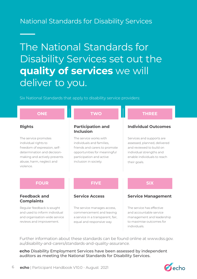### National Standards for Disability Services

# The National Standards for Disability Services set out the **quality of services** we will deliver to you.

Six National Standards that apply to disability service providers:

| <b>ONE</b>                                                                                                                                                                          | <b>TWO</b>                                                                                                                                                                | <b>THREE</b>                                                                                                                                                     |
|-------------------------------------------------------------------------------------------------------------------------------------------------------------------------------------|---------------------------------------------------------------------------------------------------------------------------------------------------------------------------|------------------------------------------------------------------------------------------------------------------------------------------------------------------|
| <b>Rights</b>                                                                                                                                                                       | <b>Participation and</b><br><b>Inclusion</b>                                                                                                                              | <b>Individual Outcomes</b>                                                                                                                                       |
| The service promotes<br>individual rights to<br>freedom of expression, self-<br>determination and decision-<br>making and actively prevents<br>abuse, harm, neglect and<br>violence | The service works with<br>individuals and families,<br>friends and carers to promote<br>opportunities for meaningful<br>participation and active<br>inclusion in society. | Services and supports are<br>assessed, planned, delivered<br>and reviewed to build on<br>individual strengths and<br>enable individuals to reach<br>their goals. |
| <b>FOUR</b>                                                                                                                                                                         | <b>FIVE</b>                                                                                                                                                               | <b>SIX</b>                                                                                                                                                       |
| <b>Feedback and</b><br><b>Complaints</b>                                                                                                                                            | <b>Service Access</b>                                                                                                                                                     | <b>Service Management</b>                                                                                                                                        |
| Regular feedback is sought<br>and used to inform individual<br>and organisation-wide service                                                                                        | The service manages access,<br>commencement and leaving<br>a service in a transparent, fair,                                                                              | The service has effective<br>and accountable service<br>management and leadership                                                                                |

Further information about these standards can be found online at www.dss.gov. au/disability-and-carers/standards-and-quality-assurance.

**echo** Disability Employment Services have been assessed by independent auditors as meeting the National Standards for Disability Services.

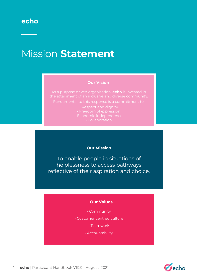# Mission **Statement**

#### **Our Vision**

As a purpose driven organisation, **echo** is invested in

• Respect and dignity • Collaboration

#### **Our Mission**

To enable people in situations of helplessness to access pathways reflective of their aspiration and choice.

#### **Our Values**

- Community
- Customer centred culture
	- Teamwork
	- Accountability

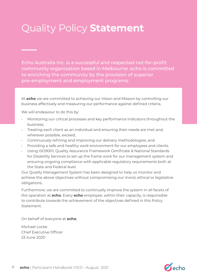# Quality Policy **Statement**

Echo Australia Inc. is a successful and respected not-for-profit community organisation based in Melbourne. echo is committed to enriching the community by the provision of superior pre-employment and employment programs.

At **echo** we are committed to achieving our Vision and Mission by controlling our business effectively and measuring our performance against defined criteria.

We will endeavour to do this by:

- Monitoring our critical processes and key performance indicators throughout the business;
- Treating each client as an individual and ensuring their needs are met and, wherever possible, exceed;
- Continuously refining and improving our delivery methodologies; and
- Providing a safe and healthy work environment for our employees and clients.
- Using ISO9001, Quality Assurance Framework Certificate & National Standards for Disability Services to set up the frame work for our management system and ensuring ongoing compliance with applicable regulatory requirements both at the State and Federal level.

Our Quality Management System has been designed to help us monitor and achieve the above objectives without compromising our moral, ethical or legislative obligations.

Furthermore, we are committed to continually improve the system in all facets of the operation at **echo**. Every **echo** employee, within their capacity, is responsible to contribute towards the achievement of the objectives defined in this Policy **Statement** 

On behalf of everyone at **echo**,

Michael Locke Chief Executive Officer 23 June 2020

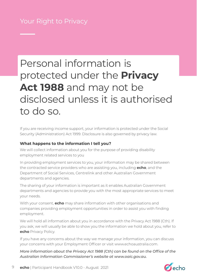# Personal information is protected under the **Privacy Act 1988** and may not be disclosed unless it is authorised to do so.

If you are receiving income support, your information is protected under the Social Security (Administration) Act 1999. Disclosure is also governed by privacy law.

#### **What happens to the information I tell you?**

We will collect information about you for the purpose of providing disability employment related services to you

In providing employment services to you, your information may be shared between the contracted service providers who are assisting you, including **echo**, and the Department of Social Services, Centrelink and other Australian Government departments and agencies.

The sharing of your information is important as it enables Australian Government departments and agencies to provide you with the most appropriate services to meet your needs.

With your consent, **echo** may share information with other organisations and companies providing employment opportunities in order to assist you with finding employment.

We will hold all information about you in accordance with the Privacy Act 1988 (Cth). If you ask, we will usually be able to show you the information we hold about you, refer to **echo** Privacy Policy.

If you have any concerns about the way we manage your information, you can discuss your concerns with your Employment Officer or visit www.echoaustralia.com.

*More information about the Privacy Act 1988 (Cth) can be found on the Office of the Australian Information Commissioner's website at www.oaic.gov.au.*

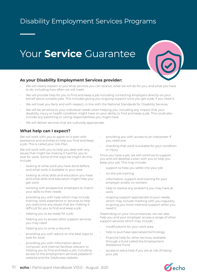## Disability Employment Services Programs

# Your **Service** Guarantee



#### **As your Disability Employment Services provider:**

- We will clearly explain to you what services you can receive, what we will do for you, and what you have to do, including how often we will meet.
- We will provide help for you to find and keep a job including contacting employers directly on your behalf about suitable jobs. This includes giving you ongoing support once you get a job, if you need it.
- We will treat you fairly and with respect, in line with the National Standards for Disability Services.
- We will be sensitive to your individual needs when helping you, including any impact that your disability, injury or health condition might have on your ability to find and keep a job. This could also include any parenting or caring responsibilities you might have.
- We will deliver services that are culturally appropriate.

#### **What help can I expect?**

We will work with you to agree on a plan with assistance and activities to help you find and keep a job. This is called your Job Plan.

We will work with you to help you deal with any issues that might be making it hard for you to look for work. Some of the ways we might do this include:

- looking at what work you have done before, and what work is available in your area
- looking at what skills and education you have and what skills and education might help you get work
- working with prospective employers to match your skills to their needs
- providing you with help which may include training, work experience or services to help you overcome any issues that are making it difficult for you to find and keep a job
- helping you to be ready for a job
- helping you to access other support services you may need
- helping you to write a résumé
- providing you with advice on the best ways to look for work
- providing you with information about computer and internet facilities relevant to helping you to find and keep a job, including access to the employment services jobsearch website and the JobAccess website
- providing you with access to an interpreter if you need one
- checking that work is suitable for your condition or injury.

Once you have a job, we will continue to support you and will develop a plan with you to help you keep your job. This may include:

- support to help you settle into your job
- on-the-job training
- information, support and training for your employer and/or co-workers
- help to resolve any problems you may have at work
- ongoing support appropriate to your needs, which may include meeting with you regularly, or giving you more intensive support when you need it.

Depending on your circumstances, we can also help you and your employer access a range of other support services which may include:

- modifications for your work area
- help to purchase specialised technology
- financial help for other services, available through a fund called the Employment Assistance Fund
- access to extra help if you are at risk of losing your job.

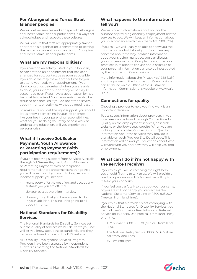#### **For Aboriginal and Torres Strait Islander peoples**

We will deliver services and engage with Aboriginal and Torres Strait Islander participants in a way that acknowledges and respects these cultures.

We will ensure that staff are appropriately trained and that this organisation is committed to getting the best employment opportunities for Aboriginal and Torres Strait Islander participants.

#### **What are my responsibilities?**

If you can't do an activity listed in your Job Plan, or can't attend an appointment that has been arranged for you, contact us as soon as possible. If you do so we may make another time for you to attend your activity or appointment. If you don't contact us beforehand when you are able to do so, your income support payment may be suspended even if you have a good reason for not being able to attend. Your payments may also be reduced or cancelled if you do not attend several appointments or activities without a good reason.

To make sure you get the right support, you should let us know if something in your life changes, like your health, your parenting responsibilities, whether you're doing voluntary or paid work or undertaking education, or if you experience a personal crisis.

#### **What if I receive JobSeeker Payment, Youth Allowance or Parenting Payment (with participation requirements)?**

If you are receiving support from Services Australia through JobSeeker Payment, Youth Allowance or Parenting Payment (with participation requirements), there are some extra things that you will have to do. If you want to keep receiving income support, you need to:

- make every effort to get a job, and accept any suitable job you are offered
- do your best at every job interview
- do everything that you have agreed to do in your Job Plan. This includes going to all appointments.

#### **National Standards for Disability Services**

The National Standards for Disability Services set out the quality of services we will deliver to you. We will let you know about these standards, and they can also be found online on the DSS website

All Disability Employment Services Program Providers have been assessed by independent auditors as meeting the National Standards for Disability Services.

#### **What happens to the information I tell you?**

We will collect information about you for the purpose of providing disability employment related services to you. We will keep all information about you in accordance with the Privacy Act 1988 (Cth).

If you ask, we will usually be able to show you the information we hold about you. If you have any concerns about the way in which information about you is being managed, you can discuss your concerns with us. Complaints about acts or practices in relation to the use and disclosure of your personal information can also be investigated by the Information Commissioner.

More information about the Privacy Act 1988 (Cth) and the powers of the Information Commissioner can be found on the Office of the Australian Information Commissioner's website at www.oaic. gov.au

#### **Connections for quality**

Choosing a provider to help you find work is an important decision.

To assist you, information about providers in your local area can be found through Connections for Quality on the employment services jobsearch website or the JobAccess website. When you are looking for a provider, Connections for Quality information about the services they provide is available on each Provider Site Detail page. This information will answer your questions about who will work with you and how they will help you find employment.

#### **What can I do if i'm not happy with the service I receive?**

If you think you aren't receiving the right help, you should first try to talk to us. We will provide a feedback process which is fair and we will try to resolve your concerns.

If you feel you can't talk to us about your concerns, or you are still not happy, you can access the National Customer Service Line on 1800 805 260 (free call from land lines).

If you think that a provider is not complying with the National Standards for Disability Services, you can call the Complaints Resolution and Referral Service on 1800 880 052 (free call from land lines). or on the:

- TTY number: 1800 301 130 (free call from land lines)
- The National Relay Service: 1800 555 677 (free call from land lines)
- Fax: 02 9318 1372

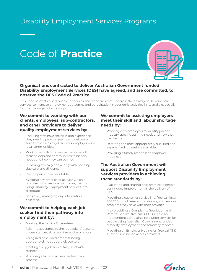### Disability Employment Services Programs

# Code of **Practice**



#### **Organisations contracted to deliver Australian Government funded Disability Employment Services (DES) have agreed, and are committed, to observe the DES Code of Practice.**

This Code of Practice sets out the principles and standards that underpin the delivery of DES and other services, to increase employment outcomes and participation in economic activities in Australia especially for disadvantaged client groups.

#### **We commit to working with our clients, employees, sub-contractors, and other providers to deliver quality employment services by:**

- Ensuring staff have the skills and experience they need to provide quality and culturally sensitive services to job seekers, employers and local communities.
- Working in collaborative partnerships with stakeholders and communities to identify needs and how they can be met.
- Behaving ethically and acting with honesty, due care and diligence.
- Being open and accountable .
- Avoiding any practice or activity, which a provider could reasonably foresee, that might bring Disability Employment Services into disrepute.
- Sensitively managing any information collected.

#### **We commit to helping each job seeker find their pathway into employment by:**

- Meeting the Service Guarantees .
- Tailoring assistance to the job seekers' personal circumstances, skills, abilities and aspirations.
- Using available Government funding appropriately to support job seekers.
- Treating every job seeker fairly and with respect.
- Providing a fair and accessible feedback process.

#### **We commit to assisting employers meet their skill and labour shortage needs by:**

- Working with employers to identify job and industry specific training needs and how they can be met.
- Referring the most appropriately qualified and experienced job seekers available.
- Providing a timely response to employer inquiries .

#### **The Australian Government will support Disability Employment Services providers in achieving these standards by:**

- Evaluating and sharing best practice to enable continuous improvement in the delivery of DES.
- Providing a customer service line, free call 1800 805 260, for job seekers to raise any concerns or problems they have with their provider.
- Also providing a Complaints Resolution and Referral Service, free call 1800 880 052, an independent complaints resolution services for people using Australian Government funded disability employment and advocacy services.
- Providing an Employer Hotline, on free call 13 17 15, for businesses to access providers.

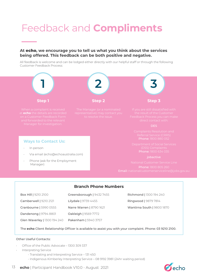# Feedback and **Compliments**

#### **At** echo**, we encourage you to tell us what you think about the services being offered. This feedback can be both positive and negative.**

All feedback is welcome and can be lodged either directly with our helpful staff or through the following Customer Feedback Process:



The **echo** Client Relationship Officer is available to assist you with your complaint. Phone: 03 9210 2100.

#### Other Useful Contacts:

- Office of the Public Advocate 1300 309 337
- Interpreting Service
	- Translating and Interpreting Service 131 450

Glen Waverley | 1300 194 240 Pakenham | 5940 3757

- Indigenous Kimberley Interpreting Service – 08 9192 3981 (24hr waiting period)

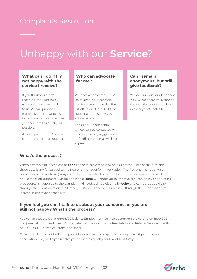### Complaints Resolution

# Unhappy with our **Service**?

#### **What can I do if I'm not happy with the service I receive?**

If you think you aren't receiving the right help, you should first try to talk to us. We will provide a feedback process which is fair and we will try to resolve your concerns as quickly as possible.

An interpreter or TTY access can be arranged on request.

#### **Who can advocate for me?**

We have a dedicated Client Relationship Officer, who can be contacted at the Box Hill office on 03 9210 2100 or submit a request at www. echoaustralia.com

The Client Relationship Officer can be contacted with any complaints, suggestions or feedback you may wish to express.

#### **Can I remain anonymous, but still give feedback?**

You can submit your feedback via www.echoaustralia.com or through the suggestion box in the foyer of each site.

#### **What's the process?**

When a complaint is received at **echo** the details are recorded on a Customer Feedback Form and these details are forwarded to the Regional Manager for investigation. The Regional Manager (or a nominated representative) may contact you to resolve the issue. The information is recorded and held on file for audit purposes. Where applicable, **echo** will endeavor to improve services, policy or operating procedures in response to the complaint. All feedback is welcome by **echo** and can be lodged either through the Client Relationship Officer, Customer Feedback Process or through the Suggestion Box located in the foyer of each site.

#### **If you feel you can't talk to us about your concerns, or you are still not happy? What's the process?**

You can access the Government's Disability Employment Service Customer Service Line on 1800 805 260 (free call from land lines). You can also call the Complaints Resolution and Referral Service directly on 1800 880 052 (free call from land lines).

They are independent bodies responsible for resolving complaints through investigation and/or conciliation. They will try to resolve your concerns quickly, fairly and sensitively.

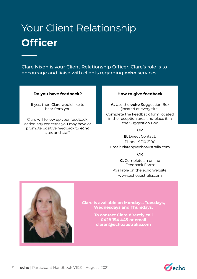# Your Client Relationship **Officer**

Clare Nixon is your Client Relationship Officer. Clare's role is to encourage and liaise with clients regarding **echo** services.

#### **Do you have feedback?**

If yes, then Clare would like to hear from you.

Clare will follow up your feedback, action any concerns you may have or promote positive feedback to **echo** sites and staff.

#### **How to give feedback**

**A.** Use the **echo** Suggestion Box (located at every site): Complete the Feedback form located in the reception area and place it in the Suggestion Box

#### OR

**B.** Direct Contact: Phone: 9210 2100 Email: claren@echoaustralia.com

#### OR

**C.** Complete an online Feedback Form: Available on the echo website: www.echoaustralia.com



**Clare is available on Mondays, Tuesdays, Wednesdays and Thursdays.**

> **To contact Clare directly call 0428 154 445 or email claren@echoaustralia.com**

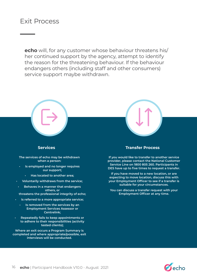### Exit Process

**echo** will, for any customer whose behaviour threatens his/ her continued support by the agency, attempt to identify the reason for the threatening behaviour. If the behaviour endangers others (including staff and other consumers) service support maybe withdrawn.



**Where an exit occurs a Program Summary is completed and where appropriate/possible, exit interviews will be conducted.**

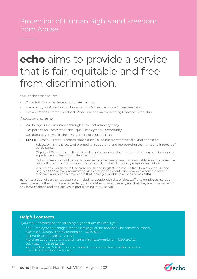### Protection of Human Rights and Freedom from Abuse

# **echo** aims to provide a service that is fair, equitable and free from discrimination.

As such the organisation:

- Organises for staff to have appropriate training
- Has a policy on Protection of Human Rights & Freedom From Abuse (see below)
- Has a written Customer Feedback Procedure and an overarching Grievance Procedure

If issues do arise, **echo**:

- Will help you seek assistance through a relevant advocacy body
- Has policies on Harassment and Equal Employment Opportunity
- Collaborates with you in the development of your Job Plan
- **• echo's.** Human Rights & Freedom from Abuse Policy incorporates the following principles:
	- Advocacy is the process of promoting, supporting and representing the rights and interests of participants.
	- Dignity of Risk is the belief that each service user has the right to make informed decisions, to experience and learn from life situations.
	- Duty of Care is an obligation to take reasonable care where it is reasonably likely that a service user will experience consequences as a result of what the agency may or may not do.
	- Provide an environment free from abuse and neglect to ensure freedom from abuse and neglect **echo** actively monitors services provided to clients and provides a comprehensive feedback and complaints process that is freely available at all sites across **echo**.

**echo** has a duty of care to its customers, including people with disabilities, staff and employers (service users) to ensure their rights are respected, their well-being safeguarded, and that they are not exposed to any form of abuse and neglect whilst participating in our service.

#### **Helpful contacts**

If you require assistance, the following organisations can assist you:

- Your Employment Manager (see the last page of this handbook for contact numbers)
- Australian Human Rights Commission 1300 369 711
- Fair Work Ombudsman 13 13 94
- Victorian Equal Opportunity and Human Rights Commission 1300 292 153
- Job Watch (03) 9662 1933
- $\,\cdot\quad$  Ability Advocacy Victoria contact them via the contact form on their website:
- www.disabilityadvocacyvic.org.au

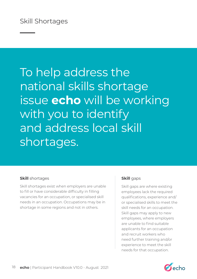# To help address the national skills shortage issue **echo** will be working with you to identify and address local skill shortages.

#### **Skill** shortages **Skill** gaps

Skill shortages exist when employers are unable to fill or have considerable difficulty in filling vacancies for an occupation, or specialised skill needs in an occupation. Occupations may be in shortage in some regions and not in others.

Skill gaps are where existing employees lack the required qualifications, experience and/ or specialised skills to meet the skill needs for an occupation. Skill gaps may apply to new employees, where employers are unable to find suitable applicants for an occupation and recruit workers who need further training and/or experience to meet the skill needs for that occupation.

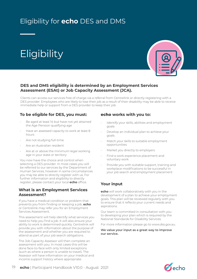# Eligibility for **echo** DES and DMS

# **Eligibility**



#### **DES and DMS eligibility is determined by an Employment Services Assessment (ESAt) or Job Capacity Assessment (JCA).**

Clients can access our services free of charge via a referral from Centrelink or directly registering with a DES provider. Employees who are likely to lose their job as a result of their disability may be able to receive immediate help or support from a DES provider to keep their job.

#### **To be eligible for DES, you must:**

- Be aged at least 14 but have not yet attained the Age Pension qualifying age
- Have an assessed capacity to work at least 8 hours
- Are not studying full-time
- Are an Australian resident
- Are at or above the minimum legal working age in your state or territory

You now have the choice and control when selecting a DES provider. In most cases you will be referred to our services by the Department of Human Services, however in some circumstances you may be able to directly register with us. For further information and eligibility to directly register, please contact your local **echo** office.

#### **What is an Employment Services Assessment?**

If you have a medical condition or problem that prevents you from finding or keeping a job, **echo**  or Centrelink may refer you for an Employment Services Assessment.

This assessment will help identify what services you need to help you find a job. It will also ensure your ability to work is determined quickly. Centrelink will provide you with information about the purpose of the assessment and whether you are required to attend as part of your job search obligations.

The Job Capacity Assessor will then complete an assessment with you. In most cases this will be done face-to-face with only limited exceptions (such as where a person is unable to travel). The Assessor will have information on your medical and income support history where appropriate.

#### **echo works with you to:**

- Identify your skills, abilities and employment goals
- Develop an individual plan to achieve your goals
- Match your skills to suitable employment opportunities
- Market you directly to employers
- Find a work experience placement and voluntary work
- Provide you with suitable support, training and workplace modifications to be successful in your job search and employment placement

#### **Your input**

**echo** will work collaboratively with you in the development of a plan to achieve your employment goals. This plan will be reviewed regularly with you to ensure that it reflects your current needs and aspirations.

Our team is committed in consultation with you to developing your plan which is required by the National Standards for Disability Services.

For more information please go to www.dss.gov.au.

**We value your input as a great way to improve our service.**

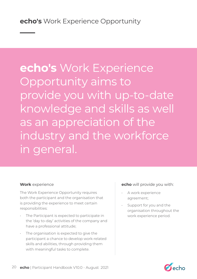# **echo's** Work Experience Opportunity aims to provide you with up-to-date knowledge and skills as well as an appreciation of the industry and the workforce in general.

The Work Experience Opportunity requires both the participant and the organisation that is providing the experience to meet certain responsibilities:

- The Participant is expected to participate in the 'day to-day' activities of the company and have a professional attitude;
- The organisation is expected to give the participant a chance to develop work-related skills and abilities, through providing them with meaningful tasks to complete.

#### **Work** experience **example 3 echo** will provide you with:

- A work experience agreement;
- Support for you and the organisation throughout the work experience period.

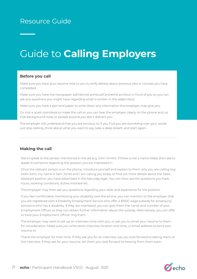### Resource Guide

# Guide to **Calling Employers**

#### **Before you call**

Make sure you have your resume next to you to verify details about previous jobs or courses you have completed.

Make sure you have the newspaper ad/internet printout/Centrelink printout in front of you so you can ask any questions you might have regarding what is written in the ad/printout.

Make sure you have a pen and paper to write down any information the employer may give you.

Go into a quiet room/area to make the call so you can hear the employer clearly on the phone and, so that background noise or people around you don't distract you.

The employer will understand that you are nervous, so if you find you are stumbling over your words just stop talking, think about what you want to say, take a deep breath and start again.

#### **Making the call**

Ask to speak to the person mentioned in the ad (e.g. John Smith). If there is not a name listed, then ask to speak to someone regarding the position you are interested in.

Once the relevant person is on the phone, introduce yourself and explain to them why you are calling (e.g. Hello John, my name is Sam Jones and I am calling you today to find out more details about the Sales Assistant position you have advertised in the Saturday Age). You can then ask the questions you have: hours, working conditions, duties involved etc.

The employer may then ask you questions regarding your skills and experience for the position.

If you feel comfortable mentioning your disability over the phone, you can mention to the employer that you are registered with a Disability Employment Service who offer a \$1500 wage subsidy for employing someone who has a disability. If they are interested, you can give them the name and number of your Employment Officer so they can obtain further information about the subsidy. Alternatively, you can offer to have your Employment Officer ring them.

The employer may want to set up an interview time with you, or ask you to email your resume to them for consideration. Make sure you write down interview location and time, or email address to send your resume to.

Thank the employer for their time. If they ask you for an interview, say you look forward to seeing them at the interview. If they ask for your resume, tell them you look forward to hearing from them soon.

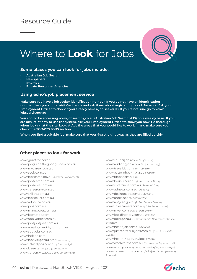### Resource Guide





#### **Some places you can look for jobs include:**

- **• Australian Job Search**
- **• Newspapers**
- **• Internet**
- **• Private Personnel Agencies**

#### **Using echo's job placement service**

**Make sure you have a job seeker identification number. If you do not have an identification number then you should visit Centrelink and ask them about registering to look for work. Ask your Employment Officer to check if you already have a job seeker ID. If you're not sure go to www. jobsearch.gov.au**

**You should be accessing www.jobsearch.gov.au (Australian Job Search, AJS) on a weekly basis. If you are unsure of how to use the system, ask your Employment Officer to show you how. Be thorough when looking at the site. Look at ALL the areas that you would like to work in and make sure you check the TODAY'S JOBS section.**

**When you find a suitable job, make sure that you ring straight away as they are filled quickly.**

#### **Other places to look for work**

www.gumtree.com.au www.jobguide.thegoodguides.com.au www.mycareer.com.au www.seek.com.au www.jobsearch.gov.au *(Federal Government)* www.jobsearch.com.au www.jobserve.com.au www.careerone.com.au www.skilled.com.au www.jobseeker.com.au www.artshub.com.au www.jobs.com.au www.manpower.com.au www.jobrapido.com www.applydirect.com.au www.jobsjobsjobs.com.au www.employment.byron.com.au www.spotjobs.com.au www.indeed.com www.jobs.vic.gov.au *(VIC Government)* www.ethicaljobs.com.au *(Community)* ww.job seeker.org.au *(Community)* www.careers.vic.gov.au *(VIC Government)*

www.counciljobs.com.au *(Council)* www.auditingjobs.com.au *(Accounting)* www.travelbiz.com.au *(Tourism)* www.easternhealth.org.au *(Health)* www.itjobs.com.au *(IT)* www.horner.com.au *(International Trade)* www.silvercircle.com.au *(Personal Care)* www.adnews.com.au *(Creative)* www.desktopzoo.com.au *(Graphic)* www.ames.net.au *(Interpreters)* www.apsjobs.gov.ai *(Public Service Gazette)* www.colescareers.com.au *(Coles Supermarket)* www.myer.com.au/careers *(Myer)* www.job-directory.com.au *(Council)* www.gold.gov.au *(Commonwealth Government Online Directory)* www.healthjob.com.au *(Health)* www.justsecretarialjobs.com.au *(Secretarial, Office Support)* www.health.vic.gov.au/jobs *(Health)* www.woolworths.com.au *(Woolworths Supermarket)* www.wpc.group.org.au *(Traineeship/Apprenticeships)* www.careermums.com.au/job/justlisted *(Working Parents)*

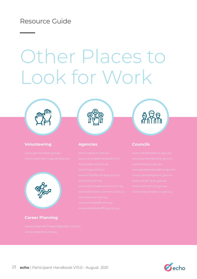### Resource Guide

# Other Places to Look for Work



#### **Volunteering Agencies Councils**



#### **Career Planning**



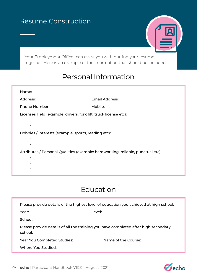### Resume Construction



Your Employment Officer can assist you with putting your resume together. Here is an example of the information that should be included.

## Personal Information

| Name:                                                                           |                       |
|---------------------------------------------------------------------------------|-----------------------|
| Address:                                                                        | <b>Email Address:</b> |
| <b>Phone Number:</b>                                                            | Mobile:               |
| Licenses Held (example: drivers, fork lift, truck license etc):                 |                       |
|                                                                                 |                       |
|                                                                                 |                       |
| Hobbies / Interests (example: sports, reading etc):                             |                       |
|                                                                                 |                       |
| Attributes / Personal Qualities (example: hardworking, reliable, punctual etc): |                       |
|                                                                                 |                       |

# Education

|                                                                                               | Please provide details of the highest level of education you achieved at high school. |
|-----------------------------------------------------------------------------------------------|---------------------------------------------------------------------------------------|
| Year:                                                                                         | Level:                                                                                |
| School:                                                                                       |                                                                                       |
| Please provide details of all the training you have completed after high secondary<br>school. |                                                                                       |
| Year You Completed Studies:                                                                   | Name of the Course:                                                                   |
| Where You Studied:                                                                            |                                                                                       |
|                                                                                               |                                                                                       |

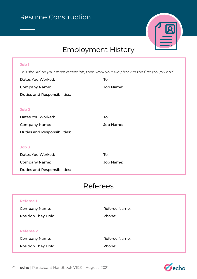

# Employment History

#### **Job 1**

*This should be your most recent job, then work your way back to the first job you had.* 

| Dates You Worked:                   | To:       |
|-------------------------------------|-----------|
| <b>Company Name:</b>                | Job Name: |
| Duties and Responsibilities:        |           |
|                                     |           |
| Job <sub>2</sub>                    |           |
| Dates You Worked:                   | To:       |
| <b>Company Name:</b>                | Job Name: |
| <b>Duties and Responsibilities:</b> |           |
|                                     |           |
| Job <sub>3</sub>                    |           |
| Dates You Worked:                   | To:       |
| <b>Company Name:</b>                | Job Name: |
| <b>Duties and Responsibilities:</b> |           |

### Referees

| <b>Referee 1</b>           |                      |
|----------------------------|----------------------|
| <b>Company Name:</b>       | <b>Referee Name:</b> |
| <b>Position They Hold:</b> | Phone:               |
|                            |                      |
| <b>Referee 2</b>           |                      |
| <b>Company Name:</b>       | <b>Referee Name:</b> |
| <b>Position They Hold:</b> | Phone:               |
|                            |                      |

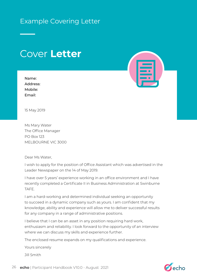### Example Covering Letter

# Cover **Letter**

| Name:    |
|----------|
| Address: |
| Mobile:  |
| Email:   |



15 May 2019

Ms Mary Water The Office Manager PO Box 123 MELBOURNE VIC 3000

Dear Ms Water,

I wish to apply for the position of Office Assistant which was advertised in the Leader Newspaper on the 14 of May 2019.

I have over 5 years' experience working in an office environment and I have recently completed a Certificate II in Business Administration at Swinburne TAFE.

I am a hard-working and determined individual seeking an opportunity to succeed in a dynamic company such as yours. I am confident that my knowledge, ability and experience will allow me to deliver successful results for any company in a range of administrative positions.

I believe that I can be an asset in any position requiring hard work, enthusiasm and reliability. I look forward to the opportunity of an interview where we can discuss my skills and experience further.

The enclosed resume expands on my qualifications and experience.

Yours sincerely

Jill Smith

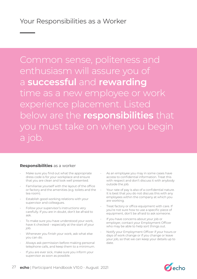Common sense, politeness and enthusiasm will assure you of a **successful** and **rewarding** time as a new employee or work experience placement. Listed below are the **responsibilities** that you must take on when you begin a job.

#### **Responsibilities** as a worker

- Make sure you find out what the appropriate dress code is for your workplace and ensure that you are clean and look well presented.
- Familiarise yourself with the layout of the office or factory and the amenities (e.g. toilets and the tea room).
- Establish good working relations with your supervisor and colleagues.
- Follow your supervisor's instructions very carefully. If you are in doubt, don't be afraid to ask.
- To make sure you have understood your work, have it checked – especially at the start of your job.
- Whenever you finish your work, ask what else you can do.
- Always ask permission before making personal telephone calls, and keep them to a minimum.
- If you are ever sick, make sure you inform your supervisor as soon as possible.
- As an employee you may in some cases have access to confidential information. Treat this with respect and don't discuss it with anybody outside the job.
- Your rate of pay is also of a confidential nature. It is best that you do not discuss this with any employees within the company at which you are working.
- Treat factory or office equipment with care. If you're not sure how to use a specific piece of equipment, don't be afraid to ask someone.
- If you have concerns about your job or employer, contact your Employment Officer who may be able to help sort things out.
- Notify your Employment Officer if your hours or days of work change or if you change or leave your job, so that we can keep your details up to date.

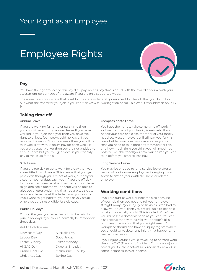## Your Right as an Employee

# Employee Rights



#### **Pay**

You have the right to receive fair pay. 'Fair pay' means pay that is equal with the award or equal with your assessment percentage of the award if you are on a supported wage.

The award is an hourly rate that is set by the state or federal government for the job that you do. To find out what the award for your job is you can visit www.fairwork.gov.au or call Fair Work Ombudsman on 13 13 94.

#### **Taking time off**

#### Annual Leave

If you are working full-time or part-time then you should be accruing annual leave. If you have worked in your job for a year then you have the right to at least four weeks paid holidays. If you work part time for 15 hours a week then you will get four weeks off with 15 hours pay for each week. If you are a casual worker then you are not entitled to annual leave but you will get more in your weekly pay to make up for this.

#### Sick Leave

If you are too sick to go to work for a day then you are entitled to sick leave. This means that you get paid even though you are not at work, but only for a set number of days each year. If you are off sick for more than one day at a time then you will have to go and see a doctor. Your doctor will be able to give you a letter explaining that you are too sick to work. You have to get this letter from your doctor if you want to get paid for your sick days. Casual employees are not eligible for sick leave.

#### Public Holidays

During the year you have the right to be paid for public holidays if you would normally be at work on those days.

Public Holidays are:

New Years Day **Australia Day** Labour Day Good Friday Easter Sunday Easter Monday Christmas Day Boxing Day

ANZAC Day Queen's Birthday Grand Final Eve Melbourne Cup Day

#### Compassionate Leave

You have the right to take some time off work if a close member of your family is seriously ill and needs your care or a close member of your family has died. Most employers will still pay you for this leave but let your boss know as soon as you can that you need to take time off from work for this, and how much time you think you will need. Your boss will be able to tell you how much time you can take before you start to lose pay.

#### Long Service Leave

You may be entitled to long service leave after a period of continuous employment ranging from seven to fifteen years with the same or related employer.

#### **Working conditions**

If you are hurt at work, or become sick because of your job then you need to tell your employer straight away. If your injury or sickness is too bad to allow you to work then you are still able to get paid what you normally would. This is called WorkCover. You must see a doctor as soon as you can. You can also receive money to pay for your doctor's bills or for any medication that you might need. Your workplace should also have an injury register where you should write down any injury that happens, no matter how minor.

If you injure yourself while travelling to or from work then the TAC (Transport Accident Commission) also covers you for the doctor's bills, medications and, in some instances, loss of income.

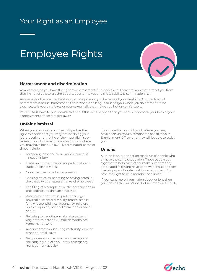## Your Right as an Employee

# Employee Rights



#### **Harrassment and discrimination**

As an employee you have the right to a harassment-free workplace. There are laws that protect you from discrimination; these are the Equal Opportunity Act and the Disability Discrimination Act.

An example of harassment is if a workmate picks on you because of your disability. Another form of harassment is sexual harassment; this is when a colleague touches you when you do not want to be touched, tells you dirty jokes or uses sexual talk that makes you feel uncomfortable.

You DO NOT have to put up with this and if this does happen then you should approach your boss or your Employment Officer straight away.

#### **Unfair dismissal**

When you are working your employer has the right to decide that you may not be doing your job properly, and that he or she must dismiss or retrench you. However, there are grounds where you may have been unlawfully terminated, some of these include:

- Temporary absence from work because of illness or injury;
- Trade union membership or participation in trade union activities;
- Non-membership of a trade union;
- Seeking office as, or acting or having acted in the capacity of, a representative of employees;
- The filing of a complaint, or the participation in proceedings, against an employer;
- Race, colour, sex, sexual preference, age, physical or mental disability, marital status, family responsibilities, pregnancy, religion, political opinion, national extraction or social origin;
- Refusing to negotiate, make, sign, extend, vary or terminate an Australian Workplace Agreement (AWA);
- Absence from work during maternity leave or other parental leave;
- Temporary absence from work because of the carrying out of a voluntary emergency management activity.

If you have lost your job and believe you may have been unlawfully terminated speak to your Employment Officer and they will be able to assist you.

#### **Unions**

A union is an organisation made up of people who all have the same occupation. These people get together to help each other make sure that they are treated fairly and have good working conditions like fair pay and a safe working environment. You have the right to be a member of a union.

If you want more information about unions then you can call the Fair Work Ombudsman on 13 13 94.

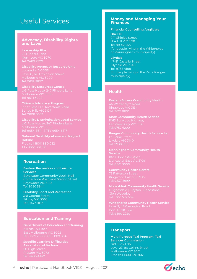### Useful Services

#### **Advocacy, Disability Rights and Laws**

**Leadership Plus** Northcote VIC 3070

**Disability Advocacy Resource Unit** Melbourne VIC 3000

**Disability Resources Centre** Melbourne VIC 3000 Tel: 9671 3000

**Citizens Advocacy Program** Inner East 1059 Riversdale Road Tel: 9808 8633

**Disability Discrimination Legal Service** Lv2 Ross House, 247 Flinders Lane

**National Disability Abuse and Neglect Hotline**

#### **Recreation**

**Eastern Recreation and Leisure Services** Bayswater Community Youth Hall Corner Pine Road and Station Street Bayswater VIC 3153 Tel: 9720 5944

**Disability Sport and Recreation** 341 George Street Fitzroy VIC 3065 Tel: 9473 0133

#### **Education and Training**

**Department of Education and Training** East Melbourne VIC 3002

**Specific Learning Difficulties Association of Victoria** Preston VIC 3072

#### **Money and Managing Your Finances**

#### **Financial Counselling Anglicare**

**Box Hill** 7-11 Shipley Street Box Hill VIC 3128 Tel: 9896 6322 (for people living in the Whitehorse or Manningham municipality)

**Lilydale**

47-51 Castella Street Lilydale VIC 3140 Tel: 9735 4188 (for people living in the Yarra Ranges municipality)

#### **Health**

**Eastern Access Community Health** 46 Warrandyte Road Tel: 9871 1800

**Knox Community Health Service** 1063 Burwood Highway Ferntree Gully VIC 3156

**Ranges Community Health Service Inc** Lilydale VIC 3140 Tel: 9738 8801

**Manningham Community Health Service** 1020 Doncaster Road Tel: 8841 3000

**Community Health Centre** Ringwood East VIC 3135 Tel: 9837 3999

**Monashlink Community Health Service** Tel: 1300 552 509

**Whitehorse Community Health Service** Level 2, 43 Carrington Road

#### **Transport**

**Multi Purpose Taxi Program, Taxi Services Commission** GPO Box 1716 Level 23, 80 Collins Street Melbourne VIC 3001 Free call 1800 638 802

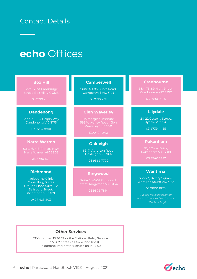### Contact Details

# **echo** Offices

#### **Box Hill**

Street, Box Hill VIC 3128

03 9210 2100

#### **Dandenong**

Shop 2, 12-14 Halpin Way, Dandenong VIC 3175

03 9794 8801

#### **Narre Warren**

03 8790 1621

#### **Richmond**

Melbourne Clinic Consulting Suites Ground Floor, Suite 1, 2 Salisbury Street, Richmond VIC 3121

0427 428 803

#### **Camberwell**

Suite 4, 685 Burke Road, Camberwell VIC 3124

03 9210 2121

#### **Glen Waverley**

Waverley VIC 3150

1300 194 240

#### **Oakleigh**

69-71 Atherton Road, Oakleigh VIC 3166

03 9569 7772

#### **Ringwood**

03 9879 7814

#### **Cranbourne**

03 5990 0555

#### **Lilydale**

20-22 Castella Street, Lilydale VIC 3140

03 9739 4455

#### **Pakenham**

#### **Wantirna**

Shop 3, 1A City Square, Wantirna South VIC 3152

03 9800 1870

*(Please note: wheelchair access is located at the rear of the building)*

#### **Other Services**

TTY number: 13 36 77 or the National Relay Service: 1800 555 677 (free call from land lines) Telephone Interpreter Service on 13 14 50.